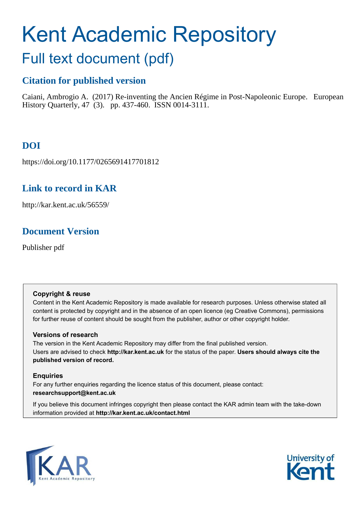# Kent Academic Repository

# Full text document (pdf)

# **Citation for published version**

Caiani, Ambrogio A. (2017) Re-inventing the Ancien Régime in Post-Napoleonic Europe. European History Quarterly, 47 (3). pp. 437-460. ISSN 0014-3111.

# **DOI**

https://doi.org/10.1177/0265691417701812

# **Link to record in KAR**

http://kar.kent.ac.uk/56559/

# **Document Version**

Publisher pdf

# **Copyright & reuse**

Content in the Kent Academic Repository is made available for research purposes. Unless otherwise stated all content is protected by copyright and in the absence of an open licence (eg Creative Commons), permissions for further reuse of content should be sought from the publisher, author or other copyright holder.

# **Versions of research**

The version in the Kent Academic Repository may differ from the final published version. Users are advised to check **http://kar.kent.ac.uk** for the status of the paper. **Users should always cite the published version of record.**

# **Enquiries**

For any further enquiries regarding the licence status of this document, please contact: **researchsupport@kent.ac.uk**

If you believe this document infringes copyright then please contact the KAR admin team with the take-down information provided at **http://kar.kent.ac.uk/contact.html**



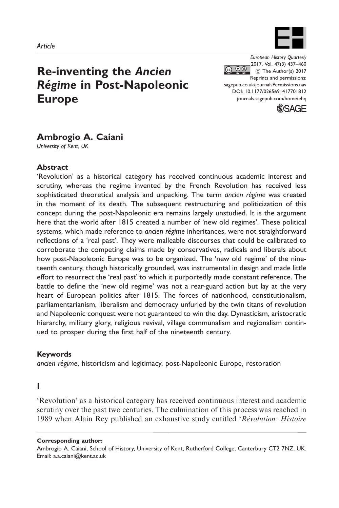

# Re-inventing the Ancien Régime in Post-Napoleonic Europe

European History Quarterly 2017, Vol. 47(3) 437–460  $\circledcirc$   $\circledcirc$  $\circledcirc$  The Author(s) 2017 Reprints and permissions: [sagepub.co.uk/journalsPermissions.nav](https://uk.sagepub.com/en-gb/journals-permissions) DOI: [10.1177/0265691417701812](https://doi.org/10.1177/0265691417701812) <journals.sagepub.com/home/ehq>



# Ambrogio A. Caiani

University of Kent, UK

## Abstract

'Revolution' as a historical category has received continuous academic interest and scrutiny, whereas the regime invented by the French Revolution has received less sophisticated theoretical analysis and unpacking. The term ancien régime was created in the moment of its death. The subsequent restructuring and politicization of this concept during the post-Napoleonic era remains largely unstudied. It is the argument here that the world after 1815 created a number of 'new old regimes'. These political systems, which made reference to ancien régime inheritances, were not straightforward reflections of a 'real past'. They were malleable discourses that could be calibrated to corroborate the competing claims made by conservatives, radicals and liberals about how post-Napoleonic Europe was to be organized. The 'new old regime' of the nineteenth century, though historically grounded, was instrumental in design and made little effort to resurrect the 'real past' to which it purportedly made constant reference. The battle to define the 'new old regime' was not a rear-guard action but lay at the very heart of European politics after 1815. The forces of nationhood, constitutionalism, parliamentarianism, liberalism and democracy unfurled by the twin titans of revolution and Napoleonic conquest were not guaranteed to win the day. Dynasticism, aristocratic hierarchy, military glory, religious revival, village communalism and regionalism continued to prosper during the first half of the nineteenth century.

#### Keywords

ancien régime, historicism and legitimacy, post-Napoleonic Europe, restoration

## I

'Revolution' as a historical category has received continuous interest and academic scrutiny over the past two centuries. The culmination of this process was reached in 1989 when Alain Rey published an exhaustive study entitled 'Révolution: Histoire

Corresponding author:

Ambrogio A. Caiani, School of History, University of Kent, Rutherford College, Canterbury CT2 7NZ, UK. Email: a.a.caiani@kent.ac.uk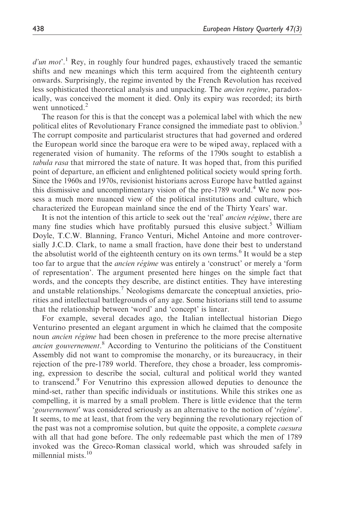$d'$ un mot'.<sup>1</sup> Rey, in roughly four hundred pages, exhaustively traced the semantic shifts and new meanings which this term acquired from the eighteenth century onwards. Surprisingly, the regime invented by the French Revolution has received less sophisticated theoretical analysis and unpacking. The *ancien regime*, paradoxically, was conceived the moment it died. Only its expiry was recorded; its birth went unnoticed. $<sup>2</sup>$ </sup>

The reason for this is that the concept was a polemical label with which the new political elites of Revolutionary France consigned the immediate past to oblivion.<sup>3</sup> The corrupt composite and particularist structures that had governed and ordered the European world since the baroque era were to be wiped away, replaced with a regenerated vision of humanity. The reforms of the 1790s sought to establish a tabula rasa that mirrored the state of nature. It was hoped that, from this purified point of departure, an efficient and enlightened political society would spring forth. Since the 1960s and 1970s, revisionist historians across Europe have battled against this dismissive and uncomplimentary vision of the pre-1789 world.<sup>4</sup> We now possess a much more nuanced view of the political institutions and culture, which characterized the European mainland since the end of the Thirty Years' war.

It is not the intention of this article to seek out the 'real' *ancien régime*, there are many fine studies which have profitably pursued this elusive subject.<sup>5</sup> William Doyle, T.C.W. Blanning, Franco Venturi, Michel Antoine and more controversially J.C.D. Clark, to name a small fraction, have done their best to understand the absolutist world of the eighteenth century on its own terms.<sup>6</sup> It would be a step too far to argue that the *ancien régime* was entirely a 'construct' or merely a 'form of representation'. The argument presented here hinges on the simple fact that words, and the concepts they describe, are distinct entities. They have interesting and unstable relationships.<sup>7</sup> Neologisms demarcate the conceptual anxieties, priorities and intellectual battlegrounds of any age. Some historians still tend to assume that the relationship between 'word' and 'concept' is linear.

For example, several decades ago, the Italian intellectual historian Diego Venturino presented an elegant argument in which he claimed that the composite noun *ancien régime* had been chosen in preference to the more precise alternative ancien gouvernement.<sup>8</sup> According to Venturino the politicians of the Constituent Assembly did not want to compromise the monarchy, or its bureaucracy, in their rejection of the pre-1789 world. Therefore, they chose a broader, less compromising, expression to describe the social, cultural and political world they wanted to transcend.<sup>9</sup> For Venutrino this expression allowed deputies to denounce the mind-set, rather than specific individuals or institutions. While this strikes one as compelling, it is marred by a small problem. There is little evidence that the term 'gouvernement' was considered seriously as an alternative to the notion of 'régime'. It seems, to me at least, that from the very beginning the revolutionary rejection of the past was not a compromise solution, but quite the opposite, a complete *caesura* with all that had gone before. The only redeemable past which the men of 1789 invoked was the Greco-Roman classical world, which was shrouded safely in millennial mists.<sup>10</sup>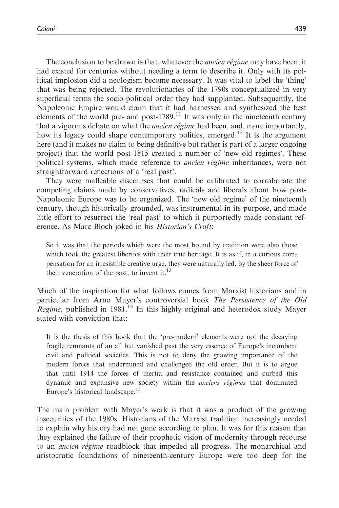The conclusion to be drawn is that, whatever the *ancien régime* may have been, it had existed for centuries without needing a term to describe it. Only with its political implosion did a neologism become necessary. It was vital to label the 'thing' that was being rejected. The revolutionaries of the 1790s conceptualized in very superficial terms the socio-political order they had supplanted. Subsequently, the Napoleonic Empire would claim that it had harnessed and synthesized the best elements of the world pre- and post-1789. $<sup>11</sup>$  It was only in the nineteenth century</sup> that a vigorous debate on what the *ancien régime* had been, and, more importantly, how its legacy could shape contemporary politics, emerged.<sup>12</sup> It is the argument here (and it makes no claim to being definitive but rather is part of a larger ongoing project) that the world post-1815 created a number of 'new old regimes'. These political systems, which made reference to *ancien régime* inheritances, were not straightforward reflections of a 'real past'.

They were malleable discourses that could be calibrated to corroborate the competing claims made by conservatives, radicals and liberals about how post-Napoleonic Europe was to be organized. The 'new old regime' of the nineteenth century, though historically grounded, was instrumental in its purpose, and made little effort to resurrect the 'real past' to which it purportedly made constant reference. As Marc Bloch joked in his Historian's Craft:

So it was that the periods which were the most bound by tradition were also those which took the greatest liberties with their true heritage. It is as if, in a curious compensation for an irresistible creative urge, they were naturally led, by the sheer force of their veneration of the past, to invent it. $^{13}$ 

Much of the inspiration for what follows comes from Marxist historians and in particular from Arno Mayer's controversial book The Persistence of the Old Regime, published in 1981.<sup>14</sup> In this highly original and heterodox study Mayer stated with conviction that:

It is the thesis of this book that the 'pre-modern' elements were not the decaying fragile remnants of an all but vanished past the very essence of Europe's incumbent civil and political societies. This is not to deny the growing importance of the modern forces that undermined and challenged the old order. But it is to argue that until 1914 the forces of inertia and resistance contained and curbed this dynamic and expansive new society within the *anciens régimes* that dominated Europe's historical landscape.<sup>15</sup>

The main problem with Mayer's work is that it was a product of the growing insecurities of the 1980s. Historians of the Marxist tradition increasingly needed to explain why history had not gone according to plan. It was for this reason that they explained the failure of their prophetic vision of modernity through recourse to an *ancien régime* roadblock that impeded all progress. The monarchical and aristocratic foundations of nineteenth-century Europe were too deep for the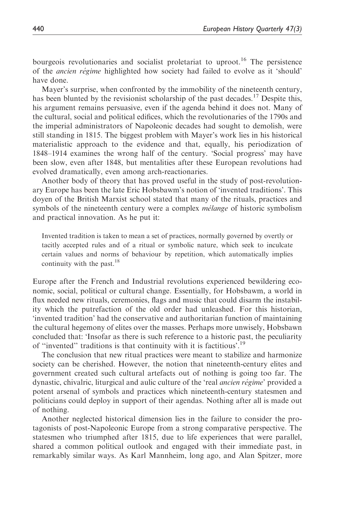bourgeois revolutionaries and socialist proletariat to uproot.<sup>16</sup> The persistence of the *ancien régime* highlighted how society had failed to evolve as it 'should' have done.

Mayer's surprise, when confronted by the immobility of the nineteenth century, has been blunted by the revisionist scholarship of the past decades.<sup>17</sup> Despite this, his argument remains persuasive, even if the agenda behind it does not. Many of the cultural, social and political edifices, which the revolutionaries of the 1790s and the imperial administrators of Napoleonic decades had sought to demolish, were still standing in 1815. The biggest problem with Mayer's work lies in his historical materialistic approach to the evidence and that, equally, his periodization of 1848–1914 examines the wrong half of the century. 'Social progress' may have been slow, even after 1848, but mentalities after these European revolutions had evolved dramatically, even among arch-reactionaries.

Another body of theory that has proved useful in the study of post-revolutionary Europe has been the late Eric Hobsbawm's notion of 'invented traditions'. This doyen of the British Marxist school stated that many of the rituals, practices and symbols of the nineteenth century were a complex *mélange* of historic symbolism and practical innovation. As he put it:

Invented tradition is taken to mean a set of practices, normally governed by overtly or tacitly accepted rules and of a ritual or symbolic nature, which seek to inculcate certain values and norms of behaviour by repetition, which automatically implies continuity with the past. $18$ 

Europe after the French and Industrial revolutions experienced bewildering economic, social, political or cultural change. Essentially, for Hobsbawm, a world in flux needed new rituals, ceremonies, flags and music that could disarm the instability which the putrefaction of the old order had unleashed. For this historian, 'invented tradition' had the conservative and authoritarian function of maintaining the cultural hegemony of elites over the masses. Perhaps more unwisely, Hobsbawn concluded that: 'Insofar as there is such reference to a historic past, the peculiarity of "invented" traditions is that continuity with it is factitious'.<sup>19</sup>

The conclusion that new ritual practices were meant to stabilize and harmonize society can be cherished. However, the notion that nineteenth-century elites and government created such cultural artefacts out of nothing is going too far. The dynastic, chivalric, liturgical and aulic culture of the 'real *ancien régime'* provided a potent arsenal of symbols and practices which nineteenth-century statesmen and politicians could deploy in support of their agendas. Nothing after all is made out of nothing.

Another neglected historical dimension lies in the failure to consider the protagonists of post-Napoleonic Europe from a strong comparative perspective. The statesmen who triumphed after 1815, due to life experiences that were parallel, shared a common political outlook and engaged with their immediate past, in remarkably similar ways. As Karl Mannheim, long ago, and Alan Spitzer, more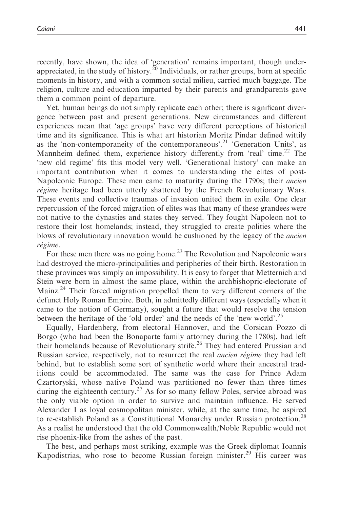recently, have shown, the idea of 'generation' remains important, though underappreciated, in the study of history.<sup>20</sup> Individuals, or rather groups, born at specific moments in history, and with a common social milieu, carried much baggage. The religion, culture and education imparted by their parents and grandparents gave them a common point of departure.

Yet, human beings do not simply replicate each other; there is significant divergence between past and present generations. New circumstances and different experiences mean that 'age groups' have very different perceptions of historical time and its significance. This is what art historian Moritz Pindar defined wittily as the 'non-contemporaneity of the contemporaneous'.<sup>21</sup> 'Generation Units', as Mannheim defined them, experience history differently from 'real' time.<sup>22</sup> The 'new old regime' fits this model very well. 'Generational history' can make an important contribution when it comes to understanding the elites of post-Napoleonic Europe. These men came to maturity during the 1790s; their *ancien* régime heritage had been utterly shattered by the French Revolutionary Wars. These events and collective traumas of invasion united them in exile. One clear repercussion of the forced migration of elites was that many of these grandees were not native to the dynasties and states they served. They fought Napoleon not to restore their lost homelands; instead, they struggled to create polities where the blows of revolutionary innovation would be cushioned by the legacy of the *ancien* régime.

For these men there was no going home.<sup>23</sup> The Revolution and Napoleonic wars had destroyed the micro-principalities and peripheries of their birth. Restoration in these provinces was simply an impossibility. It is easy to forget that Metternich and Stein were born in almost the same place, within the archbishopric-electorate of Mainz.<sup>24</sup> Their forced migration propelled them to very different corners of the defunct Holy Roman Empire. Both, in admittedly different ways (especially when it came to the notion of Germany), sought a future that would resolve the tension between the heritage of the 'old order' and the needs of the 'new world'.<sup>25</sup>

Equally, Hardenberg, from electoral Hannover, and the Corsican Pozzo di Borgo (who had been the Bonaparte family attorney during the 1780s), had left their homelands because of Revolutionary strife.<sup>26</sup> They had entered Prussian and Russian service, respectively, not to resurrect the real *ancien régime* they had left behind, but to establish some sort of synthetic world where their ancestral traditions could be accommodated. The same was the case for Prince Adam Czartoryski, whose native Poland was partitioned no fewer than three times during the eighteenth century.<sup>27</sup> As for so many fellow Poles, service abroad was the only viable option in order to survive and maintain influence. He served Alexander I as loyal cosmopolitan minister, while, at the same time, he aspired to re-establish Poland as a Constitutional Monarchy under Russian protection.<sup>28</sup> As a realist he understood that the old Commonwealth/Noble Republic would not rise phoenix-like from the ashes of the past.

The best, and perhaps most striking, example was the Greek diplomat Ioannis Kapodistrias, who rose to become Russian foreign minister.<sup>29</sup> His career was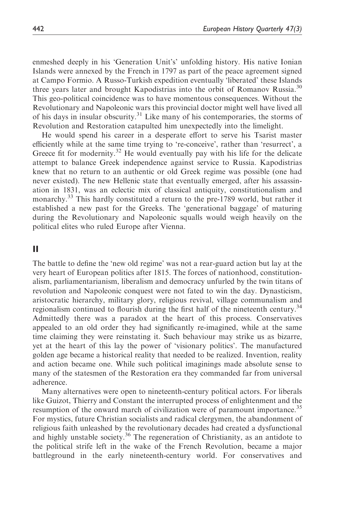enmeshed deeply in his 'Generation Unit's' unfolding history. His native Ionian Islands were annexed by the French in 1797 as part of the peace agreement signed at Campo Formio. A Russo-Turkish expedition eventually 'liberated' these Islands three years later and brought Kapodistrias into the orbit of Romanov Russia.<sup>30</sup> This geo-political coincidence was to have momentous consequences. Without the Revolutionary and Napoleonic wars this provincial doctor might well have lived all of his days in insular obscurity.<sup>31</sup> Like many of his contemporaries, the storms of Revolution and Restoration catapulted him unexpectedly into the limelight.

He would spend his career in a desperate effort to serve his Tsarist master efficiently while at the same time trying to 're-conceive', rather than 'resurrect', a Greece fit for modernity.<sup>32</sup> He would eventually pay with his life for the delicate attempt to balance Greek independence against service to Russia. Kapodistrias knew that no return to an authentic or old Greek regime was possible (one had never existed). The new Hellenic state that eventually emerged, after his assassination in 1831, was an eclectic mix of classical antiquity, constitutionalism and monarchy.<sup>33</sup> This hardly constituted a return to the pre-1789 world, but rather it established a new past for the Greeks. The 'generational baggage' of maturing during the Revolutionary and Napoleonic squalls would weigh heavily on the political elites who ruled Europe after Vienna.

## II

The battle to define the 'new old regime' was not a rear-guard action but lay at the very heart of European politics after 1815. The forces of nationhood, constitutionalism, parliamentarianism, liberalism and democracy unfurled by the twin titans of revolution and Napoleonic conquest were not fated to win the day. Dynasticism, aristocratic hierarchy, military glory, religious revival, village communalism and regionalism continued to flourish during the first half of the nineteenth century.<sup>34</sup> Admittedly there was a paradox at the heart of this process. Conservatives appealed to an old order they had significantly re-imagined, while at the same time claiming they were reinstating it. Such behaviour may strike us as bizarre, yet at the heart of this lay the power of 'visionary politics'. The manufactured golden age became a historical reality that needed to be realized. Invention, reality and action became one. While such political imaginings made absolute sense to many of the statesmen of the Restoration era they commanded far from universal adherence.

Many alternatives were open to nineteenth-century political actors. For liberals like Guizot, Thierry and Constant the interrupted process of enlightenment and the resumption of the onward march of civilization were of paramount importance.<sup>35</sup> For mystics, future Christian socialists and radical clergymen, the abandonment of religious faith unleashed by the revolutionary decades had created a dysfunctional and highly unstable society.<sup>36</sup> The regeneration of Christianity, as an antidote to the political strife left in the wake of the French Revolution, became a major battleground in the early nineteenth-century world. For conservatives and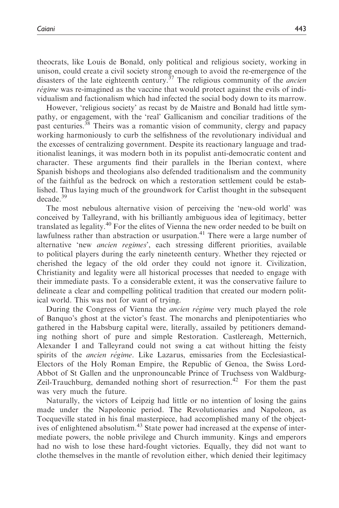theocrats, like Louis de Bonald, only political and religious society, working in unison, could create a civil society strong enough to avoid the re-emergence of the disasters of the late eighteenth century.<sup>37</sup> The religious community of the *ancien* régime was re-imagined as the vaccine that would protect against the evils of individualism and factionalism which had infected the social body down to its marrow.

However, 'religious society' as recast by de Maistre and Bonald had little sympathy, or engagement, with the 'real' Gallicanism and conciliar traditions of the past centuries.<sup>38</sup> Theirs was a romantic vision of community, clergy and papacy working harmoniously to curb the selfishness of the revolutionary individual and the excesses of centralizing government. Despite its reactionary language and traditionalist leanings, it was modern both in its populist anti-democratic content and character. These arguments find their parallels in the Iberian context, where Spanish bishops and theologians also defended traditionalism and the community of the faithful as the bedrock on which a restoration settlement could be established. Thus laying much of the groundwork for Carlist thought in the subsequent decade.<sup>39</sup>

The most nebulous alternative vision of perceiving the 'new-old world' was conceived by Talleyrand, with his brilliantly ambiguous idea of legitimacy, better translated as legality.<sup>40</sup> For the elites of Vienna the new order needed to be built on lawfulness rather than abstraction or usurpation.<sup>41</sup> There were a large number of alternative 'new ancien regimes', each stressing different priorities, available to political players during the early nineteenth century. Whether they rejected or cherished the legacy of the old order they could not ignore it. Civilization, Christianity and legality were all historical processes that needed to engage with their immediate pasts. To a considerable extent, it was the conservative failure to delineate a clear and compelling political tradition that created our modern political world. This was not for want of trying.

During the Congress of Vienna the *ancien régime* very much played the role of Banquo's ghost at the victor's feast. The monarchs and plenipotentiaries who gathered in the Habsburg capital were, literally, assailed by petitioners demanding nothing short of pure and simple Restoration. Castlereagh, Metternich, Alexander I and Talleyrand could not swing a cat without hitting the feisty spirits of the *ancien régime*. Like Lazarus, emissaries from the Ecclesiastical-Electors of the Holy Roman Empire, the Republic of Genoa, the Swiss Lord-Abbot of St Gallen and the unpronouncable Prince of Truchsess von Waldburg-Zeil-Trauchburg, demanded nothing short of resurrection.<sup>42</sup> For them the past was very much the future.

Naturally, the victors of Leipzig had little or no intention of losing the gains made under the Napoleonic period. The Revolutionaries and Napoleon, as Tocqueville stated in his final masterpiece, had accomplished many of the objectives of enlightened absolutism.<sup>43</sup> State power had increased at the expense of intermediate powers, the noble privilege and Church immunity. Kings and emperors had no wish to lose these hard-fought victories. Equally, they did not want to clothe themselves in the mantle of revolution either, which denied their legitimacy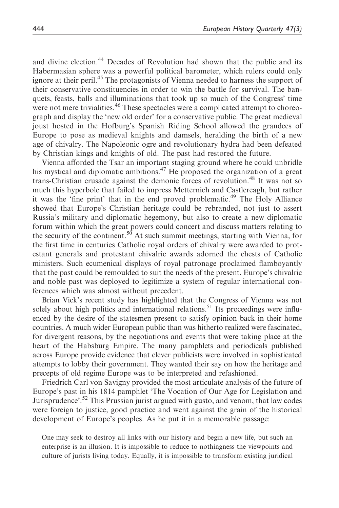and divine election.<sup>44</sup> Decades of Revolution had shown that the public and its Habermasian sphere was a powerful political barometer, which rulers could only ignore at their peril.<sup>45</sup> The protagonists of Vienna needed to harness the support of their conservative constituencies in order to win the battle for survival. The banquets, feasts, balls and illuminations that took up so much of the Congress' time were not mere trivialities.<sup>46</sup> These spectacles were a complicated attempt to choreograph and display the 'new old order' for a conservative public. The great medieval joust hosted in the Hofburg's Spanish Riding School allowed the grandees of Europe to pose as medieval knights and damsels, heralding the birth of a new age of chivalry. The Napoleonic ogre and revolutionary hydra had been defeated by Christian kings and knights of old. The past had restored the future.

Vienna afforded the Tsar an important staging ground where he could unbridle his mystical and diplomatic ambitions.<sup>47</sup> He proposed the organization of a great trans-Christian crusade against the demonic forces of revolution.<sup>48</sup> It was not so much this hyperbole that failed to impress Metternich and Castlereagh, but rather it was the 'fine print' that in the end proved problematic.<sup>49</sup> The Holy Alliance showed that Europe's Christian heritage could be rebranded, not just to assert Russia's military and diplomatic hegemony, but also to create a new diplomatic forum within which the great powers could concert and discuss matters relating to the security of the continent.<sup>50</sup> At such summit meetings, starting with Vienna, for the first time in centuries Catholic royal orders of chivalry were awarded to protestant generals and protestant chivalric awards adorned the chests of Catholic ministers. Such ecumenical displays of royal patronage proclaimed flamboyantly that the past could be remoulded to suit the needs of the present. Europe's chivalric and noble past was deployed to legitimize a system of regular international conferences which was almost without precedent.

Brian Vick's recent study has highlighted that the Congress of Vienna was not solely about high politics and international relations.<sup>51</sup> Its proceedings were influenced by the desire of the statesmen present to satisfy opinion back in their home countries. A much wider European public than was hitherto realized were fascinated, for divergent reasons, by the negotiations and events that were taking place at the heart of the Habsburg Empire. The many pamphlets and periodicals published across Europe provide evidence that clever publicists were involved in sophisticated attempts to lobby their government. They wanted their say on how the heritage and precepts of old regime Europe was to be interpreted and refashioned.

Friedrich Carl von Savigny provided the most articulate analysis of the future of Europe's past in his 1814 pamphlet 'The Vocation of Our Age for Legislation and Jurisprudence'.<sup>52</sup> This Prussian jurist argued with gusto, and venom, that law codes were foreign to justice, good practice and went against the grain of the historical development of Europe's peoples. As he put it in a memorable passage:

One may seek to destroy all links with our history and begin a new life, but such an enterprise is an illusion. It is impossible to reduce to nothingness the viewpoints and culture of jurists living today. Equally, it is impossible to transform existing juridical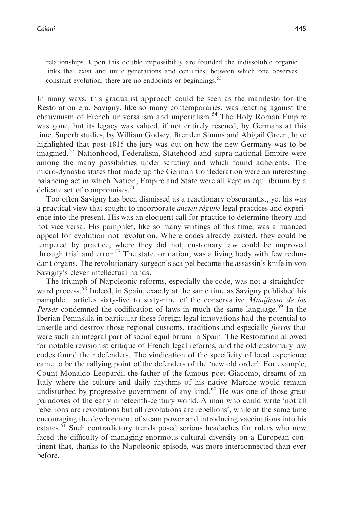relationships. Upon this double impossibility are founded the indissoluble organic links that exist and unite generations and centuries, between which one observes constant evolution, there are no endpoints or beginnings.<sup>53</sup>

In many ways, this gradualist approach could be seen as the manifesto for the Restoration era. Savigny, like so many contemporaries, was reacting against the chauvinism of French universalism and imperialism.<sup>54</sup> The Holy Roman Empire was gone, but its legacy was valued, if not entirely rescued, by Germans at this time. Superb studies, by William Godsey, Brenden Simms and Abigail Green, have highlighted that post-1815 the jury was out on how the new Germany was to be imagined.<sup>55</sup> Nationhood, Federalism, Statehood and supra-national Empire were among the many possibilities under scrutiny and which found adherents. The micro-dynastic states that made up the German Confederation were an interesting balancing act in which Nation, Empire and State were all kept in equilibrium by a delicate set of compromises.<sup>56</sup>

Too often Savigny has been dismissed as a reactionary obscurantist, yet his was a practical view that sought to incorporate *ancien régime* legal practices and experience into the present. His was an eloquent call for practice to determine theory and not vice versa. His pamphlet, like so many writings of this time, was a nuanced appeal for evolution not revolution. Where codes already existed, they could be tempered by practice, where they did not, customary law could be improved through trial and error.<sup>57</sup> The state, or nation, was a living body with few redundant organs. The revolutionary surgeon's scalpel became the assassin's knife in von Savigny's clever intellectual hands.

The triumph of Napoleonic reforms, especially the code, was not a straightforward process.<sup>58</sup> Indeed, in Spain, exactly at the same time as Savigny published his pamphlet, articles sixty-five to sixty-nine of the conservative Manifiesto de los Persas condemned the codification of laws in much the same language.<sup>59</sup> In the Iberian Peninsula in particular these foreign legal innovations had the potential to unsettle and destroy those regional customs, traditions and especially fueros that were such an integral part of social equilibrium in Spain. The Restoration allowed for notable revisionist critique of French legal reforms, and the old customary law codes found their defenders. The vindication of the specificity of local experience came to be the rallying point of the defenders of the 'new old order'. For example, Count Monaldo Leopardi, the father of the famous poet Giacomo, dreamt of an Italy where the culture and daily rhythms of his native Marche would remain undisturbed by progressive government of any kind. $60$  He was one of those great paradoxes of the early nineteenth-century world. A man who could write 'not all rebellions are revolutions but all revolutions are rebellions', while at the same time encouraging the development of steam power and introducing vaccinations into his estates.<sup>61</sup> Such contradictory trends posed serious headaches for rulers who now faced the difficulty of managing enormous cultural diversity on a European continent that, thanks to the Napoleonic episode, was more interconnected than ever before.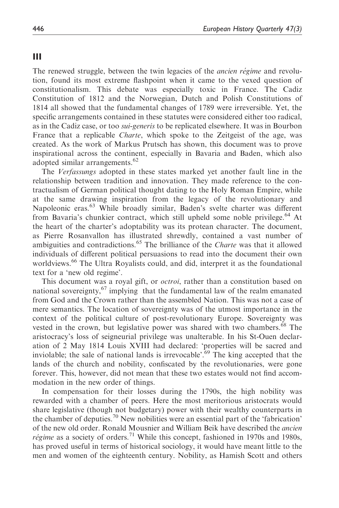## III

The renewed struggle, between the twin legacies of the *ancien régime* and revolution, found its most extreme flashpoint when it came to the vexed question of constitutionalism. This debate was especially toxic in France. The Cadiz Constitution of 1812 and the Norwegian, Dutch and Polish Constitutions of 1814 all showed that the fundamental changes of 1789 were irreversible. Yet, the specific arrangements contained in these statutes were considered either too radical, as in the Cadiz case, or too *sui-generis* to be replicated elsewhere. It was in Bourbon France that a replicable Charte, which spoke to the Zeitgeist of the age, was created. As the work of Markus Prutsch has shown, this document was to prove inspirational across the continent, especially in Bavaria and Baden, which also adopted similar arrangements.<sup>62</sup>

The Verfassungs adopted in these states marked yet another fault line in the relationship between tradition and innovation. They made reference to the contractualism of German political thought dating to the Holy Roman Empire, while at the same drawing inspiration from the legacy of the revolutionary and Napoleonic eras.<sup>63</sup> While broadly similar, Baden's svelte charter was different from Bavaria's chunkier contract, which still upheld some noble privilege.<sup>64</sup> At the heart of the charter's adoptability was its protean character. The document, as Pierre Rosanvallon has illustrated shrewdly, contained a vast number of ambiguities and contradictions.<sup>65</sup> The brilliance of the *Charte* was that it allowed individuals of different political persuasions to read into the document their own worldviews.<sup>66</sup> The Ultra Royalists could, and did, interpret it as the foundational text for a 'new old regime'.

This document was a royal gift, or *octroi*, rather than a constitution based on national sovereignty,<sup>67</sup> implying that the fundamental law of the realm emanated from God and the Crown rather than the assembled Nation. This was not a case of mere semantics. The location of sovereignty was of the utmost importance in the context of the political culture of post-revolutionary Europe. Sovereignty was vested in the crown, but legislative power was shared with two chambers.<sup>68</sup> The aristocracy's loss of seigneurial privilege was unalterable. In his St-Ouen declaration of 2 May 1814 Louis XVIII had declared: 'properties will be sacred and inviolable; the sale of national lands is irrevocable'.<sup>69</sup> The king accepted that the lands of the church and nobility, confiscated by the revolutionaries, were gone forever. This, however, did not mean that these two estates would not find accommodation in the new order of things.

In compensation for their losses during the 1790s, the high nobility was rewarded with a chamber of peers. Here the most meritorious aristocrats would share legislative (though not budgetary) power with their wealthy counterparts in the chamber of deputies.<sup>70</sup> New nobilities were an essential part of the 'fabrication' of the new old order. Ronald Mousnier and William Beik have described the ancien *régime* as a society of orders.<sup>71</sup> While this concept, fashioned in 1970s and 1980s, has proved useful in terms of historical sociology, it would have meant little to the men and women of the eighteenth century. Nobility, as Hamish Scott and others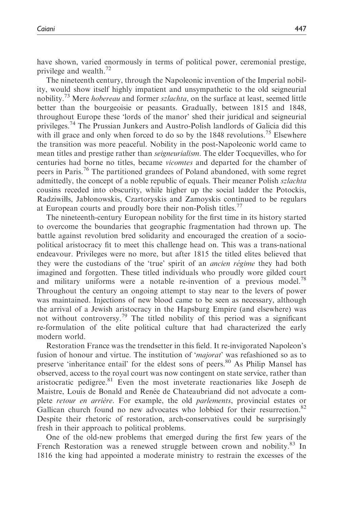have shown, varied enormously in terms of political power, ceremonial prestige, privilege and wealth.<sup>72</sup>

The nineteenth century, through the Napoleonic invention of the Imperial nobility, would show itself highly impatient and unsympathetic to the old seigneurial nobility.<sup>73</sup> Mere *hobereau* and former *szlachta*, on the surface at least, seemed little better than the bourgeoisie or peasants. Gradually, between 1815 and 1848, throughout Europe these 'lords of the manor' shed their juridical and seigneurial privileges.<sup>74</sup> The Prussian Junkers and Austro-Polish landlords of Galicia did this with ill grace and only when forced to do so by the  $1848$  revolutions.<sup>75</sup> Elsewhere the transition was more peaceful. Nobility in the post-Napoleonic world came to mean titles and prestige rather than seigneurialism. The elder Tocquevilles, who for centuries had borne no titles, became vicomtes and departed for the chamber of peers in Paris.<sup>76</sup> The partitioned grandees of Poland abandoned, with some regret admittedly, the concept of a noble republic of equals. Their meaner Polish szlachta cousins receded into obscurity, while higher up the social ladder the Potockis, Radziwills, Jablonowskis, Czartoryskis and Zamoyskis continued to be regulars at European courts and proudly bore their non-Polish titles.<sup>77</sup>

The nineteenth-century European nobility for the first time in its history started to overcome the boundaries that geographic fragmentation had thrown up. The battle against revolution bred solidarity and encouraged the creation of a sociopolitical aristocracy fit to meet this challenge head on. This was a trans-national endeavour. Privileges were no more, but after 1815 the titled elites believed that they were the custodians of the 'true' spirit of an *ancien régime* they had both imagined and forgotten. These titled individuals who proudly wore gilded court and military uniforms were a notable re-invention of a previous model.<sup>78</sup> Throughout the century an ongoing attempt to stay near to the levers of power was maintained. Injections of new blood came to be seen as necessary, although the arrival of a Jewish aristocracy in the Hapsburg Empire (and elsewhere) was not without controversy.<sup>79</sup> The titled nobility of this period was a significant re-formulation of the elite political culture that had characterized the early modern world.

Restoration France was the trendsetter in this field. It re-invigorated Napoleon's fusion of honour and virtue. The institution of '*majorat*' was refashioned so as to preserve 'inheritance entail' for the eldest sons of peers.<sup>80</sup> As Philip Mansel has observed, access to the royal court was now contingent on state service, rather than aristocratic pedigree.<sup>81</sup> Even the most inveterate reactionaries like Joseph de Maistre, Louis de Bonald and Renée de Chateaubriand did not advocate a complete *retour en arrière*. For example, the old *parlements*, provincial estates or Gallican church found no new advocates who lobbied for their resurrection.<sup>82</sup> Despite their rhetoric of restoration, arch-conservatives could be surprisingly fresh in their approach to political problems.

One of the old-new problems that emerged during the first few years of the French Restoration was a renewed struggle between crown and nobility. $83 \text{ In}$ 1816 the king had appointed a moderate ministry to restrain the excesses of the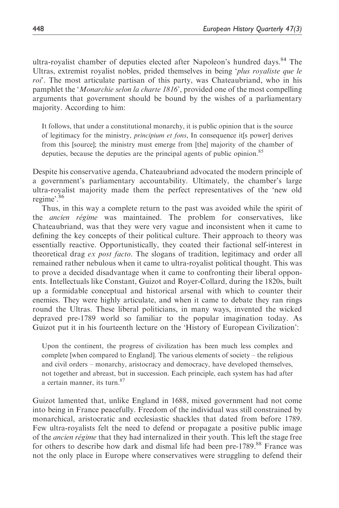ultra-royalist chamber of deputies elected after Napoleon's hundred days.<sup>84</sup> The Ultras, extremist royalist nobles, prided themselves in being 'plus royaliste que le roi'. The most articulate partisan of this party, was Chateaubriand, who in his pamphlet the '*Monarchie selon la charte 1816*', provided one of the most compelling arguments that government should be bound by the wishes of a parliamentary majority. According to him:

It follows, that under a constitutional monarchy, it is public opinion that is the source of legitimacy for the ministry, principium et fons, In consequence it[s power] derives from this [source]; the ministry must emerge from [the] majority of the chamber of deputies, because the deputies are the principal agents of public opinion.<sup>85</sup>

Despite his conservative agenda, Chateaubriand advocated the modern principle of a government's parliamentary accountability. Ultimately, the chamber's large ultra-royalist majority made them the perfect representatives of the 'new old regime'.<sup>86</sup>

Thus, in this way a complete return to the past was avoided while the spirit of the *ancien régime* was maintained. The problem for conservatives, like Chateaubriand, was that they were very vague and inconsistent when it came to defining the key concepts of their political culture. Their approach to theory was essentially reactive. Opportunistically, they coated their factional self-interest in theoretical drag ex post facto. The slogans of tradition, legitimacy and order all remained rather nebulous when it came to ultra-royalist political thought. This was to prove a decided disadvantage when it came to confronting their liberal opponents. Intellectuals like Constant, Guizot and Royer-Collard, during the 1820s, built up a formidable conceptual and historical arsenal with which to counter their enemies. They were highly articulate, and when it came to debate they ran rings round the Ultras. These liberal politicians, in many ways, invented the wicked depraved pre-1789 world so familiar to the popular imagination today. As Guizot put it in his fourteenth lecture on the 'History of European Civilization':

Upon the continent, the progress of civilization has been much less complex and complete [when compared to England]. The various elements of society – the religious and civil orders – monarchy, aristocracy and democracy, have developed themselves, not together and abreast, but in succession. Each principle, each system has had after a certain manner, its turn.<sup>87</sup>

Guizot lamented that, unlike England in 1688, mixed government had not come into being in France peacefully. Freedom of the individual was still constrained by monarchical, aristocratic and ecclesiastic shackles that dated from before 1789. Few ultra-royalists felt the need to defend or propagate a positive public image of the *ancien régime* that they had internalized in their youth. This left the stage free for others to describe how dark and dismal life had been pre-1789.<sup>88</sup> France was not the only place in Europe where conservatives were struggling to defend their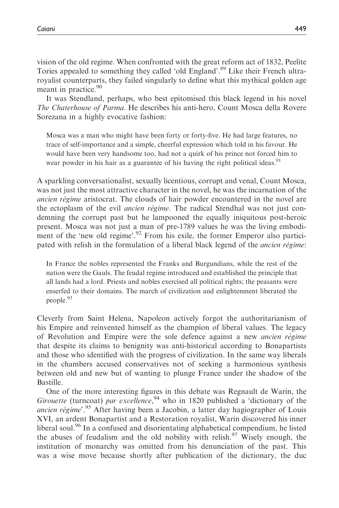vision of the old regime. When confronted with the great reform act of 1832, Peelite Tories appealed to something they called 'old England'.<sup>89</sup> Like their French ultraroyalist counterparts, they failed singularly to define what this mythical golden age meant in practice.<sup>90</sup>

It was Stendland, perhaps, who best epitomised this black legend in his novel The Chaterhouse of Parma. He describes his anti-hero, Count Mosca della Rovere Sorezana in a highly evocative fashion:

Mosca was a man who might have been forty or forty-five. He had large features, no trace of self-importance and a simple, cheerful expression which told in his favour. He would have been very handsome too, had not a quirk of his prince not forced him to wear powder in his hair as a guarantee of his having the right political ideas.<sup>91</sup>

A sparkling conversationalist, sexually licentious, corrupt and venal, Count Mosca, was not just the most attractive character in the novel, he was the incarnation of the ancien régime aristocrat. The clouds of hair powder encountered in the novel are the ectoplasm of the evil *ancien régime*. The radical Stendhal was not just condemning the corrupt past but he lampooned the equally iniquitous post-heroic present. Mosca was not just a man of pre-1789 values he was the living embodiment of the 'new old regime'.<sup>92</sup> From his exile, the former Emperor also participated with relish in the formulation of a liberal black legend of the *ancien régime*:

In France the nobles represented the Franks and Burgundians, while the rest of the nation were the Gauls. The feudal regime introduced and established the principle that all lands had a lord. Priests and nobles exercised all political rights; the peasants were enserfed to their domains. The march of civilization and enlightenment liberated the people.<sup>93</sup>

Cleverly from Saint Helena, Napoleon actively forgot the authoritarianism of his Empire and reinvented himself as the champion of liberal values. The legacy of Revolution and Empire were the sole defence against a new *ancien régime* that despite its claims to benignity was anti-historical according to Bonapartists and those who identified with the progress of civilization. In the same way liberals in the chambers accused conservatives not of seeking a harmonious synthesis between old and new but of wanting to plunge France under the shadow of the Bastille.

One of the more interesting figures in this debate was Regnault de Warin, the Girouette (turncoat) par excellence,  $94$  who in 1820 published a 'dictionary of the ancien régime<sup>'.95</sup> After having been a Jacobin, a latter day hagiographer of Louis XVI, an ardent Bonapartist and a Restoration royalist, Warin discovered his inner liberal soul.<sup>96</sup> In a confused and disorientating alphabetical compendium, he listed the abuses of feudalism and the old nobility with relish.<sup>97</sup> Wisely enough, the institution of monarchy was omitted from his denunciation of the past. This was a wise move because shortly after publication of the dictionary, the duc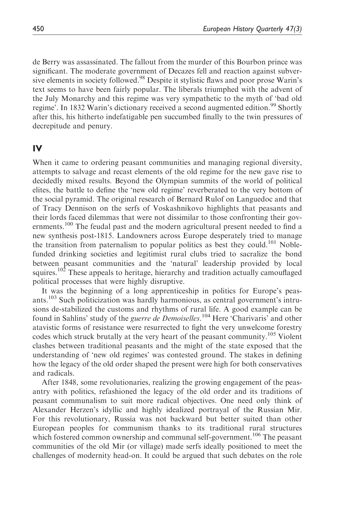de Berry was assassinated. The fallout from the murder of this Bourbon prince was significant. The moderate government of Decazes fell and reaction against subversive elements in society followed.<sup>98</sup> Despite it stylistic flaws and poor prose Warin's text seems to have been fairly popular. The liberals triumphed with the advent of the July Monarchy and this regime was very sympathetic to the myth of 'bad old regime'. In 1832 Warin's dictionary received a second augmented edition.<sup>99</sup> Shortly after this, his hitherto indefatigable pen succumbed finally to the twin pressures of decrepitude and penury.

## IV

When it came to ordering peasant communities and managing regional diversity, attempts to salvage and recast elements of the old regime for the new gave rise to decidedly mixed results. Beyond the Olympian summits of the world of political elites, the battle to define the 'new old regime' reverberated to the very bottom of the social pyramid. The original research of Bernard Rulof on Languedoc and that of Tracy Dennison on the serfs of Voskashnikovo highlights that peasants and their lords faced dilemmas that were not dissimilar to those confronting their governments.<sup>100</sup> The feudal past and the modern agricultural present needed to find a new synthesis post-1815. Landowners across Europe desperately tried to manage the transition from paternalism to popular politics as best they could.<sup>101</sup> Noblefunded drinking societies and legitimist rural clubs tried to sacralize the bond between peasant communities and the 'natural' leadership provided by local squires.<sup>102</sup> These appeals to heritage, hierarchy and tradition actually camouflaged political processes that were highly disruptive.

It was the beginning of a long apprenticeship in politics for Europe's peasants.<sup>103</sup> Such politicization was hardly harmonious, as central government's intrusions de-stabilized the customs and rhythms of rural life. A good example can be found in Sahlins' study of the *guerre de Demoiselles*.<sup>104</sup> Here 'Charivaris' and other atavistic forms of resistance were resurrected to fight the very unwelcome forestry codes which struck brutally at the very heart of the peasant community.<sup>105</sup> Violent clashes between traditional peasants and the might of the state exposed that the understanding of 'new old regimes' was contested ground. The stakes in defining how the legacy of the old order shaped the present were high for both conservatives and radicals.

After 1848, some revolutionaries, realizing the growing engagement of the peasantry with politics, refashioned the legacy of the old order and its traditions of peasant communalism to suit more radical objectives. One need only think of Alexander Herzen's idyllic and highly idealized portrayal of the Russian Mir. For this revolutionary, Russia was not backward but better suited than other European peoples for communism thanks to its traditional rural structures which fostered common ownership and communal self-government.<sup>106</sup> The peasant communities of the old Mir (or village) made serfs ideally positioned to meet the challenges of modernity head-on. It could be argued that such debates on the role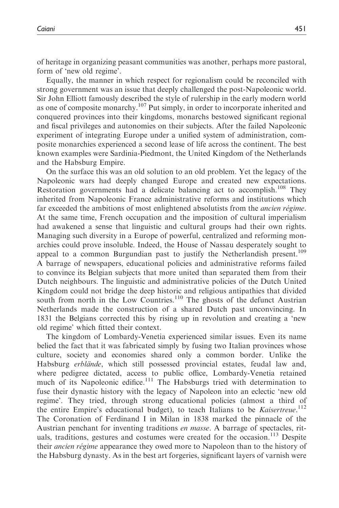of heritage in organizing peasant communities was another, perhaps more pastoral, form of 'new old regime'.

Equally, the manner in which respect for regionalism could be reconciled with strong government was an issue that deeply challenged the post-Napoleonic world. Sir John Elliott famously described the style of rulership in the early modern world as one of composite monarchy.<sup>107</sup> Put simply, in order to incorporate inherited and conquered provinces into their kingdoms, monarchs bestowed significant regional and fiscal privileges and autonomies on their subjects. After the failed Napoleonic experiment of integrating Europe under a unified system of administration, composite monarchies experienced a second lease of life across the continent. The best known examples were Sardinia-Piedmont, the United Kingdom of the Netherlands and the Habsburg Empire.

On the surface this was an old solution to an old problem. Yet the legacy of the Napoleonic wars had deeply changed Europe and created new expectations. Restoration governments had a delicate balancing act to accomplish.<sup>108</sup> They inherited from Napoleonic France administrative reforms and institutions which far exceeded the ambitions of most enlightened absolutists from the *ancien régime*. At the same time, French occupation and the imposition of cultural imperialism had awakened a sense that linguistic and cultural groups had their own rights. Managing such diversity in a Europe of powerful, centralized and reforming monarchies could prove insoluble. Indeed, the House of Nassau desperately sought to appeal to a common Burgundian past to justify the Netherlandish present.<sup>109</sup> A barrage of newspapers, educational policies and administrative reforms failed to convince its Belgian subjects that more united than separated them from their Dutch neighbours. The linguistic and administrative policies of the Dutch United Kingdom could not bridge the deep historic and religious antipathies that divided south from north in the Low Countries.<sup>110</sup> The ghosts of the defunct Austrian Netherlands made the construction of a shared Dutch past unconvincing. In 1831 the Belgians corrected this by rising up in revolution and creating a 'new old regime' which fitted their context.

The kingdom of Lombardy-Venetia experienced similar issues. Even its name belied the fact that it was fabricated simply by fusing two Italian provinces whose culture, society and economies shared only a common border. Unlike the Habsburg erblände, which still possessed provincial estates, feudal law and, where pedigree dictated, access to public office, Lombardy-Venetia retained much of its Napoleonic edifice.<sup>111</sup> The Habsburgs tried with determination to fuse their dynastic history with the legacy of Napoleon into an eclectic 'new old regime'. They tried, through strong educational policies (almost a third of the entire Empire's educational budget), to teach Italians to be Kaisertreue.<sup>112</sup> The Coronation of Ferdinand I in Milan in 1838 marked the pinnacle of the Austrian penchant for inventing traditions en masse. A barrage of spectacles, rituals, traditions, gestures and costumes were created for the occasion.<sup>113</sup> Despite their *ancien régime* appearance they owed more to Napoleon than to the history of the Habsburg dynasty. As in the best art forgeries, significant layers of varnish were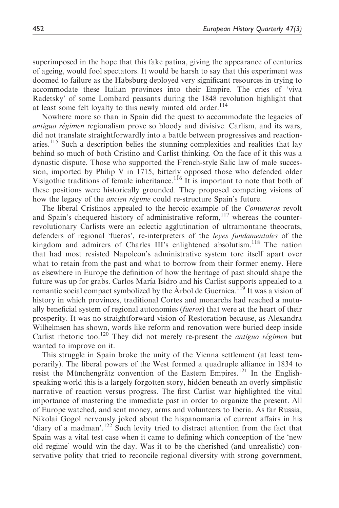superimposed in the hope that this fake patina, giving the appearance of centuries of ageing, would fool spectators. It would be harsh to say that this experiment was doomed to failure as the Habsburg deployed very significant resources in trying to accommodate these Italian provinces into their Empire. The cries of 'viva Radetsky' of some Lombard peasants during the 1848 revolution highlight that at least some felt loyalty to this newly minted old order.<sup>114</sup>

Nowhere more so than in Spain did the quest to accommodate the legacies of antiguo régimen regionalism prove so bloody and divisive. Carlism, and its wars, did not translate straightforwardly into a battle between progressives and reactionaries.<sup>115</sup> Such a description belies the stunning complexities and realities that lay behind so much of both Cristino and Carlist thinking. On the face of it this was a dynastic dispute. Those who supported the French-style Salic law of male succession, imported by Philip V in 1715, bitterly opposed those who defended older Visigothic traditions of female inheritance.<sup>116</sup> It is important to note that both of these positions were historically grounded. They proposed competing visions of how the legacy of the *ancien régime* could re-structure Spain's future.

The liberal Cristinos appealed to the heroic example of the *Comuneros* revolt and Spain's chequered history of administrative reform,  $117$  whereas the counterrevolutionary Carlists were an eclectic agglutination of ultramontane theocrats, defenders of regional 'fueros', re-interpreters of the leyes fundamentales of the kingdom and admirers of Charles III's enlightened absolutism.<sup>118</sup> The nation that had most resisted Napoleon's administrative system tore itself apart over what to retain from the past and what to borrow from their former enemy. Here as elsewhere in Europe the definition of how the heritage of past should shape the future was up for grabs. Carlos Marı´a Isidro and his Carlist supports appealed to a romantic social compact symbolized by the Arbol de Guernica.<sup>119</sup> It was a vision of history in which provinces, traditional Cortes and monarchs had reached a mutually beneficial system of regional autonomies (fueros) that were at the heart of their prosperity. It was no straightforward vision of Restoration because, as Alexandra Wilhelmsen has shown, words like reform and renovation were buried deep inside Carlist rhetoric too.<sup>120</sup> They did not merely re-present the *antiguo régimen* but wanted to improve on it.

This struggle in Spain broke the unity of the Vienna settlement (at least temporarily). The liberal powers of the West formed a quadruple alliance in 1834 to resist the Münchengrätz convention of the Eastern Empires.<sup>121</sup> In the Englishspeaking world this is a largely forgotten story, hidden beneath an overly simplistic narrative of reaction versus progress. The first Carlist war highlighted the vital importance of mastering the immediate past in order to organize the present. All of Europe watched, and sent money, arms and volunteers to Iberia. As far Russia, Nikolai Gogol nervously joked about the hispanomania of current affairs in his 'diary of a madman'.<sup>122</sup> Such levity tried to distract attention from the fact that Spain was a vital test case when it came to defining which conception of the 'new old regime' would win the day. Was it to be the cherished (and unrealistic) conservative polity that tried to reconcile regional diversity with strong government,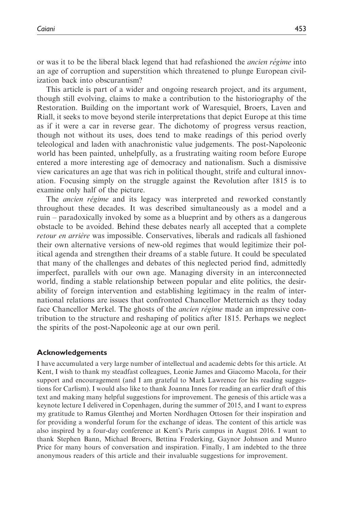or was it to be the liberal black legend that had refashioned the *ancien régime* into an age of corruption and superstition which threatened to plunge European civilization back into obscurantism?

This article is part of a wider and ongoing research project, and its argument, though still evolving, claims to make a contribution to the historiography of the Restoration. Building on the important work of Waresquiel, Broers, Laven and Riall, it seeks to move beyond sterile interpretations that depict Europe at this time as if it were a car in reverse gear. The dichotomy of progress versus reaction, though not without its uses, does tend to make readings of this period overly teleological and laden with anachronistic value judgements. The post-Napoleonic world has been painted, unhelpfully, as a frustrating waiting room before Europe entered a more interesting age of democracy and nationalism. Such a dismissive view caricatures an age that was rich in political thought, strife and cultural innovation. Focusing simply on the struggle against the Revolution after 1815 is to examine only half of the picture.

The *ancien régime* and its legacy was interpreted and reworked constantly throughout these decades. It was described simultaneously as a model and a ruin – paradoxically invoked by some as a blueprint and by others as a dangerous obstacle to be avoided. Behind these debates nearly all accepted that a complete retour en arrière was impossible. Conservatives, liberals and radicals all fashioned their own alternative versions of new-old regimes that would legitimize their political agenda and strengthen their dreams of a stable future. It could be speculated that many of the challenges and debates of this neglected period find, admittedly imperfect, parallels with our own age. Managing diversity in an interconnected world, finding a stable relationship between popular and elite politics, the desirability of foreign intervention and establishing legitimacy in the realm of international relations are issues that confronted Chancellor Metternich as they today face Chancellor Merkel. The ghosts of the *ancien régime* made an impressive contribution to the structure and reshaping of politics after 1815. Perhaps we neglect the spirits of the post-Napoleonic age at our own peril.

#### Acknowledgements

I have accumulated a very large number of intellectual and academic debts for this article. At Kent, I wish to thank my steadfast colleagues, Leonie James and Giacomo Macola, for their support and encouragement (and I am grateful to Mark Lawrence for his reading suggestions for Carlism). I would also like to thank Joanna Innes for reading an earlier draft of this text and making many helpful suggestions for improvement. The genesis of this article was a keynote lecture I delivered in Copenhagen, during the summer of 2015, and I want to express my gratitude to Ramus Glenthøj and Morten Nordhagen Ottosen for their inspiration and for providing a wonderful forum for the exchange of ideas. The content of this article was also inspired by a four-day conference at Kent's Paris campus in August 2016. I want to thank Stephen Bann, Michael Broers, Bettina Frederking, Gaynor Johnson and Munro Price for many hours of conversation and inspiration. Finally, I am indebted to the three anonymous readers of this article and their invaluable suggestions for improvement.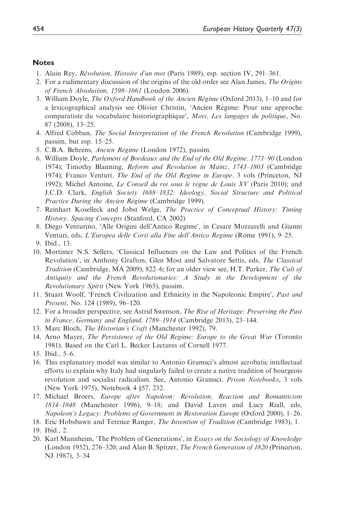#### **Notes**

- 1. Alain Rey, Révolution, Histoire d'un mot (Paris 1989), esp. section IV, 291-361.
- 2. For a rudimentary discussion of the origins of the old order see Alan James, *The Origins* of French Absolutism, 1598–1661 (London 2006).
- 3. William Doyle, The Oxford Handbook of the Ancien Régime (Oxford 2013), 1–10 and for a lexicographical analysis see Olivier Christin, 'Ancien Régime: Pour une approche comparatiste du vocabulaire historiographique', Mots, Les langages du politique, No. 87 (2008), 13–25.
- 4. Alfred Cobban, The Social Interpretation of the French Revolution (Cambridge 1999), passim, but esp. 15–25.
- 5. C.B.A. Behrens, Ancien Régime (London 1972), passim.
- 6. William Doyle, Parlement of Bordeaux and the End of the Old Regime, 1771–90 (London 1974); Timothy Blanning, Reform and Revolution in Mainz, 1743-1803 (Cambridge 1974); Franco Venturi, *The End of the Old Regime in Europe*, 3 vols (Princeton, NJ 1992); Michel Antoine, Le Conseil du roi sous le règne de Louis  $XY$  (Paris 2010); and J.C.D. Clark, English Society 1688–1832: Ideology, Social Structure and Political Practice During the Ancien Régime (Cambridge 1999).
- 7. Reinhart Koselleck and Jobst Welge, The Practice of Conceptual History: Timing History, Spacing Concepts (Stanford, CA 2002)
- 8. Diego Venturino, 'Alle Origini dell'Antico Regime', in Cesare Mozzarelli and Gianni Venturi, eds, L'Europea delle Corti alla Fine dell'Antico Regime (Rome 1991), 9–25. 9. Ibid., 13.
- 10. Mortimer N.S. Sellers, 'Classical Influences on the Law and Politics of the French Revolution', in Anthony Grafton, Glen Most and Salvatore Settis, eds, The Classical Tradition (Cambridge, MA 2009), 822–6; for an older view see, H.T. Parker, The Cult of Antiquity and the French Revolutionaries: A Study in the Development of the Revolutionary Spirit (New York 1965), passim.
- 11. Stuart Woolf, 'French Civilization and Ethnicity in the Napoleonic Empire', Past and Present, No. 124 (1989), 96–120.
- 12. For a broader perspective, see Astrid Swenson, The Rise of Heritage: Preserving the Past in France, Germany and England, 1789–1914 (Cambridge 2013), 23–144.
- 13. Marc Bloch, The Historian's Craft (Manchester 1992), 79.
- 14. Arno Mayer, The Persistence of the Old Regime: Europe to the Great War (Toronto 1981). Based on the Carl L. Becker Lectures of Cornell 1977.
- 15. Ibid., 5–6.
- 16. This explanatory model was similar to Antonio Gramsci's almost acrobatic intellectual efforts to explain why Italy had singularly failed to create a native tradition of bourgeois revolution and socialist radicalism. See, Antonio Gramsci, Prison Notebooks, 3 vols (New York 1975), Notebook 4 §57, 232.
- 17. Michael Broers, Europe after Napoleon: Revolution, Reaction and Romanticism 1814–1848 (Manchester 1996), 9–18; and David Laven and Lucy Riall, eds, Napoleon's Legacy: Problems of Government in Restoration Europe (Oxford 2000), 1–26.
- 18. Eric Hobsbawn and Terence Ranger, The Invention of Tradition (Cambridge 1983), 1. 19. Ibid., 2.
- 20. Karl Mannheim, 'The Problem of Generations', in *Essays on the Sociology of Knowledge* (London 1952), 276–320; and Alan B. Spitzer, The French Generation of 1820 (Princeton, NJ 1987), 3–34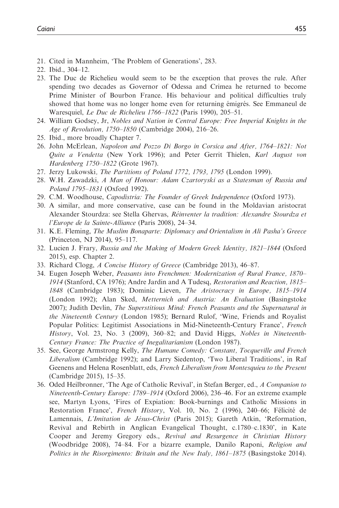- 21. Cited in Mannheim, 'The Problem of Generations', 283.
- 22. Ibid., 304–12.
- 23. The Duc de Richelieu would seem to be the exception that proves the rule. After spending two decades as Governor of Odessa and Crimea he returned to become Prime Minister of Bourbon France. His behaviour and political difficulties truly showed that home was no longer home even for returning émigrés. See Emmaneul de Waresquiel, Le Duc de Richelieu 1766–1822 (Paris 1990), 205–51.
- 24. William Godsey, Jr, Nobles and Nation in Central Europe: Free Imperial Knights in the Age of Revolution, 1750–1850 (Cambridge 2004), 216–26.
- 25. Ibid., more broadly Chapter 7.
- 26. John McErlean, Napoleon and Pozzo Di Borgo in Corsica and After, 1764–1821: Not Quite a Vendetta (New York 1996); and Peter Gerrit Thielen, Karl August von Hardenberg 1750–1822 (Grote 1967).
- 27. Jerzy Lukowski, The Partitions of Poland 1772, 1793, 1795 (London 1999).
- 28. W.H. Zawadzki, A Man of Honour: Adam Czartoryski as a Statesman of Russia and Poland 1795–1831 (Oxford 1992).
- 29. C.M. Woodhouse, Capodistria: The Founder of Greek Independence (Oxford 1973).
- 30. A similar, and more conservative, case can be found in the Moldavian aristocrat Alexander Stourdza: see Stella Ghervas, Réinventer la tradition: Alexandre Stourdza et l'Europe de la Sainte-Alliance (Paris 2008), 24–34.
- 31. K.E. Fleming, The Muslim Bonaparte: Diplomacy and Orientalism in Ali Pasha's Greece (Princeton, NJ 2014), 95–117.
- 32. Lucien J. Frary, Russia and the Making of Modern Greek Identity, 1821–1844 (Oxford 2015), esp. Chapter 2.
- 33. Richard Clogg, A Concise History of Greece (Cambridge 2013), 46–87.
- 34. Eugen Joseph Weber, Peasants into Frenchmen: Modernization of Rural France, 1870– 1914 (Stanford, CA 1976); Andre Jardin and A Tudesq, Restoration and Reaction, 1815– 1848 (Cambridge 1983); Dominic Lieven, The Aristocracy in Europe, 1815–1914 (London 1992); Alan Sked, Metternich and Austria: An Evaluation (Basingstoke 2007); Judith Devlin, The Superstitious Mind: French Peasants and the Supernatural in the Nineteenth Century (London 1985); Bernard Rulof, 'Wine, Friends and Royalist Popular Politics: Legitimist Associations in Mid-Nineteenth-Century France', French History, Vol. 23, No. 3 (2009), 360-82; and David Higgs, Nobles in Nineteenth-Century France: The Practice of Inegalitarianism (London 1987).
- 35. See, George Armstrong Kelly, The Humane Comedy: Constant, Tocqueville and French Liberalism (Cambridge 1992); and Larry Siedentop, 'Two Liberal Traditions', in Raf Geenens and Helena Rosenblatt, eds, French Liberalism from Montesquieu to the Present (Cambridge 2015), 15–35.
- 36. Oded Heilbronner, 'The Age of Catholic Revival', in Stefan Berger, ed., A Companion to Nineteenth-Century Europe: 1789–1914 (Oxford 2006), 236–46. For an extreme example see, Martyn Lyons, 'Fires of Expiation: Book-burnings and Catholic Missions in Restoration France', French History, Vol. 10, No. 2 (1996), 240-66; Félicité de Lamennais, L'Imitation de Jésus-Christ (Paris 2015); Gareth Atkin, 'Reformation, Revival and Rebirth in Anglican Evangelical Thought, c.1780–c.1830', in Kate Cooper and Jeremy Gregory eds., Revival and Resurgence in Christian History (Woodbridge 2008), 74–84. For a bizarre example, Danilo Raponi, Religion and Politics in the Risorgimento: Britain and the New Italy, 1861–1875 (Basingstoke 2014).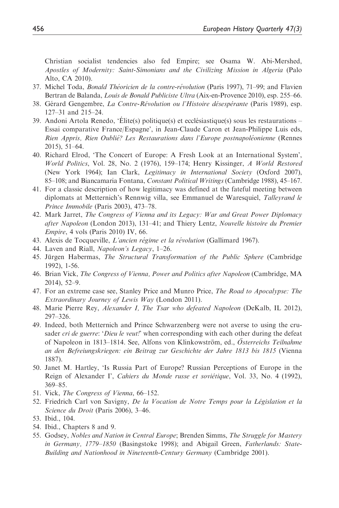Christian socialist tendencies also fed Empire; see Osama W. Abi-Mershed, Apostles of Modernity: Saint-Simonians and the Civilizing Mission in Algeria (Palo Alto, CA 2010).

- 37. Michel Toda, *Bonald Théoricien de la contre-révolution* (Paris 1997), 71–99; and Flavien Bertran de Balanda, Louis de Bonald Publiciste Ultra (Aix-en-Provence 2010), esp. 255–66.
- 38. Gérard Gengembre, La Contre-Révolution ou l'Histoire désespérante (Paris 1989), esp. 127–31 and 215–24.
- 39. Andoni Artola Renedo, 'Élite(s) politique(s) et ecclésiastique(s) sous les restaurations -Essai comparative France/Espagne', in Jean-Claude Caron et Jean-Philippe Luis eds, Rien Appris, Rien Oublié? Les Restaurations dans l'Europe postnapoléonienne (Rennes 2015), 51–64.
- 40. Richard Elrod, 'The Concert of Europe: A Fresh Look at an International System', World Politics, Vol. 28, No. 2 (1976), 159–174; Henry Kissinger, A World Restored (New York 1964); Ian Clark, Legitimacy in International Society (Oxford 2007), 85–108; and Biancamaria Fontana, Constant Political Writings (Cambridge 1988), 45–167.
- 41. For a classic description of how legitimacy was defined at the fateful meeting between diplomats at Metternich's Rennwig villa, see Emmanuel de Waresquiel, Talleyrand le Prince Immobile (Paris 2003), 473–78.
- 42. Mark Jarret, The Congress of Vienna and its Legacy: War and Great Power Diplomacy after Napoleon (London 2013), 131–41; and Thiery Lentz, Nouvelle histoire du Premier Empire, 4 vols (Paris 2010) IV, 66.
- 43. Alexis de Tocqueville, L'ancien régime et la révolution (Gallimard 1967).
- 44. Laven and Riall, Napoleon's Legacy, 1–26.
- 45. Jürgen Habermas, The Structural Transformation of the Public Sphere (Cambridge 1992), 1-56.
- 46. Brian Vick, The Congress of Vienna, Power and Politics after Napoleon (Cambridge, MA 2014), 52–9.
- 47. For an extreme case see, Stanley Price and Munro Price, *The Road to Apocalypse: The* Extraordinary Journey of Lewis Way (London 2011).
- 48. Marie Pierre Rey, Alexander I, The Tsar who defeated Napoleon (DeKalb, IL 2012), 297–326.
- 49. Indeed, both Metternich and Prince Schwarzenberg were not averse to using the crusader cri de guerre: 'Dieu le veut!' when corresponding with each other during the defeat of Napoleon in 1813–1814. See, Alfons von Klinkowström, ed., Österreichs Teilnahme an den Befreiungskriegen: ein Beitrag zur Geschichte der Jahre 1813 bis 1815 (Vienna 1887).
- 50. Janet M. Hartley, 'Is Russia Part of Europe? Russian Perceptions of Europe in the Reign of Alexander I', Cahiers du Monde russe et soviétique, Vol. 33, No. 4 (1992), 369–85.
- 51. Vick, The Congress of Vienna, 66-152.
- 52. Friedrich Carl von Savigny, De la Vocation de Notre Temps pour la Législation et la Science du Droit (Paris 2006), 3–46.
- 53. Ibid., 104.
- 54. Ibid., Chapters 8 and 9.
- 55. Godsey, Nobles and Nation in Central Europe; Brenden Simms, The Struggle for Mastery in Germany, 1779–1850 (Basingstoke 1998); and Abigail Green, Fatherlands: State-Building and Nationhood in Nineteenth-Century Germany (Cambridge 2001).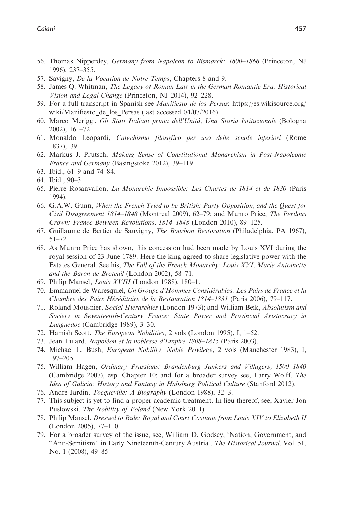- 56. Thomas Nipperdey, Germany from Napoleon to Bismarck: 1800–1866 (Princeton, NJ 1996), 237–355.
- 57. Savigny, De la Vocation de Notre Temps, Chapters 8 and 9.
- 58. James Q. Whitman, The Legacy of Roman Law in the German Romantic Era: Historical Vision and Legal Change (Princeton, NJ 2014), 92–228.
- 59. For a full transcript in Spanish see Manifiesto de los Persas: [https://es.wikisource.org/](https://es.wikisource.org/wiki/Manifiesto_de_los_Persas) wiki/Manifiesto de los Persas (last accessed 04/07/2016).
- 60. Marco Meriggi, Gli Stati Italiani prima dell'Unita`, Una Storia Istituzionale (Bologna 2002), 161–72.
- 61. Monaldo Leopardi, Catechismo filosofico per uso delle scuole inferiori (Rome 1837), 39.
- 62. Markus J. Prutsch, Making Sense of Constitutional Monarchism in Post-Napoleonic France and Germany (Basingstoke 2012), 39–119.
- 63. Ibid., 61–9 and 74–84.
- 64. Ibid., 90–3.
- 65. Pierre Rosanvallon, La Monarchie Impossible: Les Chartes de 1814 et de 1830 (Paris 1994).
- 66. G.A.W. Gunn, When the French Tried to be British: Party Opposition, and the Quest for Civil Disagreement 1814–1848 (Montreal 2009), 62–79; and Munro Price, The Perilous Crown: France Between Revolutions, 1814–1848 (London 2010), 89–125.
- 67. Guillaume de Bertier de Sauvigny, The Bourbon Restoration (Philadelphia, PA 1967), 51–72.
- 68. As Munro Price has shown, this concession had been made by Louis XVI during the royal session of 23 June 1789. Here the king agreed to share legislative power with the Estates General. See his, The Fall of the French Monarchy: Louis XVI, Marie Antoinette and the Baron de Breteuil (London 2002), 58–71.
- 69. Philip Mansel, Louis XVIII (London 1988), 180–1.
- 70. Emmanuel de Waresquiel, Un Groupe d'Hommes Considérables: Les Pairs de France et la Chambre des Pairs Héréditaire de la Restauration 1814–1831 (Paris 2006), 79–117.
- 71. Roland Mousnier, Social Hierarchies (London 1973); and William Beik, Absolutism and Society in Seventeenth-Century France: State Power and Provincial Aristocracy in Languedoc (Cambridge 1989), 3–30.
- 72. Hamish Scott, The European Nobilities, 2 vols (London 1995), I, 1–52.
- 73. Jean Tulard, Napoléon et la noblesse d'Empire 1808-1815 (Paris 2003).
- 74. Michael L. Bush, European Nobility, Noble Privilege, 2 vols (Manchester 1983), I, 197–205.
- 75. William Hagen, Ordinary Prussians: Brandenburg Junkers and Villagers, 1500–1840 (Cambridge 2007), esp. Chapter 10; and for a broader survey see, Larry Wolff, The Idea of Galicia: History and Fantasy in Habsburg Political Culture (Stanford 2012).
- 76. André Jardin, *Tocqueville: A Biography* (London 1988), 32–3.
- 77. This subject is yet to find a proper academic treatment. In lieu thereof, see, Xavier Jon Puslowski, *The Nobility of Poland* (New York 2011).
- 78. Philip Mansel, Dressed to Rule: Royal and Court Costume from Louis XIV to Elizabeth II (London 2005), 77–110.
- 79. For a broader survey of the issue, see, William D. Godsey, 'Nation, Government, and "Anti-Semitism" in Early Nineteenth-Century Austria', The Historical Journal, Vol. 51, No. 1 (2008), 49–85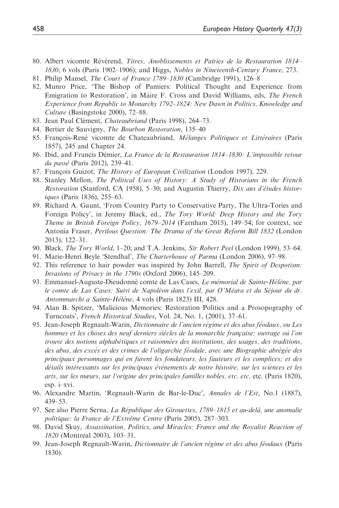- 80. Albert vicomte Révérend, Titres, Anoblissements et Pairies de la Restauration 1814– 1830, 6 vols (Paris 1902–1906); and Higgs, Nobles in Nineteenth-Century France, 273.
- 81. Philip Mansel, The Court of France 1789–1830 (Cambridge 1991), 126–8
- 82. Munro Price, 'The Bishop of Pamiers: Political Thought and Experience from Emigration to Restoration', in Máire F. Cross and David Williams, eds, The French Experience from Republic to Monarchy 1792–1824: New Dawn in Politics, Knowledge and Culture (Basingstoke 2000), 72–88.
- 83. Jean Paul Clément, Chateaubriand (Paris 1998), 264–73.
- 84. Bertier de Sauvigny, The Bourbon Restoration, 135-40
- 85. François-René vicomte de Chateaubriand, Mélanges Politiques et Littéraires (Paris 1857), 245 and Chapter 24.
- 86. Ibid, and Francis Démier, La France de la Restauration 1814–1830: L'impossible retour du passé (Paris 2012), 239–41.
- 87. François Guizot, The History of European Civilization (London 1997), 229.
- 88. Stanley Mellon, The Political Uses of History: A Study of Historians in the French Restoration (Stanford, CA 1958), 5–30; and Augustin Thierry, Dix ans d'études historiques (Paris 1836), 255–63.
- 89. Richard A. Gaunt, 'From Country Party to Conservative Party, The Ultra-Tories and Foreign Policy', in Jeremy Black, ed., The Tory World: Deep History and the Tory Theme in British Foreign Policy, 1679–2014 (Farnham 2015), 149–54; for context, see Antonia Fraser, Perilous Question: The Drama of the Great Reform Bill 1832 (London 2013), 122–31.
- 90. Black, The Tory World, 1–20; and T.A. Jenkins, Sir Robert Peel (London 1999), 53–64.
- 91. Marie-Henri Beyle 'Stendhal', *The Charterhouse of Parma* (London 2006), 97–98.
- 92. This reference to hair powder was inspired by John Barrell, *The Spirit of Despotism:* Invasions of Privacy in the 1790s (Oxford 2006), 145–209.
- 93. Emmanuel-Auguste-Dieudonné comte de Las Cases, Le mémorial de Sainte-Hélène, par le comte de Las Cases: Suivi de Napoléon dans l'exil, par O'Méara et du Séjour du dr. Antommarchi a Sainte-Hélène, 4 vols (Paris 1823) III, 428.
- 94. Alan B. Spitzer, 'Malicious Memories: Restoration Politics and a Prosopography of Turncoats', French Historical Studies, Vol. 24, No. 1, (2001), 37–61.
- 95. Jean-Joseph Regnault-Warin, Dictionnaire de l'ancien régime et des abus féodaux, ou Les hommes et les choses des neuf derniers siècles de la monarchie française: ouvrage où l'on trouve des notions alphabétiques et raisonnées des institutions, des usages, des traditions, des abus, des excès et des crimes de l'oligarchie féodale, avec une Biographie abrégée des principaux personnages qui en furent les fondateurs, les fauteurs et les complices; et des détails intéressants sur les principaux événements de notre histoire, sur les sciences et les arts, sur les mœurs, sur l'origine des principales familles nobles, etc. etc. etc. (Paris 1820), esp. i–xvi.
- 96. Alexandre Martin, 'Regnault-Warin de Bar-le-Duc', Annales de l'Est, No.1 (1887), 439–53.
- 97. See also Pierre Serna, La République des Girouettes, 1789–1815 et au-delà, une anomalie politique: la France de l'Extrême Centre (Paris 2005), 287-303.
- 98. David Skuy, Assassination, Politics, and Miracles: France and the Royalist Reaction of 1820 (Montreal 2003), 103–31.
- 99. Jean-Joseph Regnault-Warin, Dictionnaire de l'ancien régime et des abus féodaux (Paris 1830).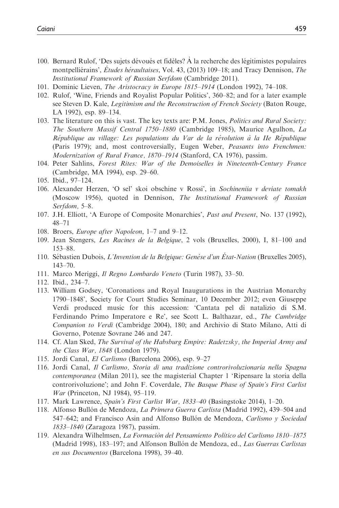- 100. Bernard Rulof, 'Des sujets dévoués et fidèles? À la recherche des légitimistes populaires montpelliérains', Études héraultaises, Vol. 43, (2013) 109–18; and Tracy Dennison, The Institutional Framework of Russian Serfdom (Cambridge 2011).
- 101. Dominic Lieven, The Aristocracy in Europe 1815–1914 (London 1992), 74–108.
- 102. Rulof, 'Wine, Friends and Royalist Popular Politics', 360–82; and for a later example see Steven D. Kale, Legitimism and the Reconstruction of French Society (Baton Rouge, LA 1992), esp. 89–134.
- 103. The literature on this is vast. The key texts are: P.M. Jones, *Politics and Rural Society:* The Southern Massif Central 1750–1880 (Cambridge 1985), Maurice Agulhon, La République au village: Les populations du Var de la révolution à la IIe République (Paris 1979); and, most controversially, Eugen Weber, Peasants into Frenchmen: Modernization of Rural France, 1870–1914 (Stanford, CA 1976), passim.
- 104. Peter Sahlins, Forest Rites: War of the Demoiselles in Nineteenth-Century France (Cambridge, MA 1994), esp. 29–60.
- 105. Ibid., 97–124.
- 106. Alexander Herzen, 'O sel' skoi obschine v Rossi', in Sochineniia v deviate tomakh (Moscow 1956), quoted in Dennison, The Institutional Framework of Russian Serfdom, 5–8.
- 107. J.H. Elliott, 'A Europe of Composite Monarchies', Past and Present, No. 137 (1992), 48–71
- 108. Broers, *Europe after Napoleon*, 1–7 and 9–12.
- 109. Jean Stengers, Les Racines de la Belgique, 2 vols (Bruxelles, 2000), I, 81–100 and 153–88.
- 110. Sébastien Dubois, L'Invention de la Belgique: Genèse d'un État-Nation (Bruxelles 2005), 143–70.
- 111. Marco Meriggi, Il Regno Lombardo Veneto (Turin 1987), 33–50.
- 112. Ibid., 234–7.
- 113. William Godsey, 'Coronations and Royal Inaugurations in the Austrian Monarchy 1790–1848', Society for Court Studies Seminar, 10 December 2012; even Giuseppe Verdi produced music for this accession: 'Cantata pel dı` natalizio di S.M. Ferdinando Primo Imperatore e Re', see Scott L. Balthazar, ed., The Cambridge Companion to Verdi (Cambridge 2004), 180; and Archivio di Stato Milano, Atti di Governo, Potenze Sovrane 246 and 247.
- 114. Cf. Alan Sked, The Survival of the Habsburg Empire: Radetzsky, the Imperial Army and the Class War, 1848 (London 1979).
- 115. Jordi Canal, El Carlismo (Barcelona 2006), esp. 9–27
- 116. Jordi Canal, Il Carlismo, Storia di una tradizione controrivoluzionaria nella Spagna contemporanea (Milan 2011), see the magisterial Chapter 1 'Ripensare la storia della controrivoluzione'; and John F. Coverdale, The Basque Phase of Spain's First Carlist War (Princeton, NJ 1984), 95–119.
- 117. Mark Lawrence, Spain's First Carlist War, 1833–40 (Basingstoke 2014), 1–20.
- 118. Alfonso Bullón de Mendoza, La Primera Guerra Carlista (Madrid 1992), 439–504 and 547–642; and Francisco Asin and Alfonso Bullón de Mendoza, Carlismo y Sociedad 1833–1840 (Zaragoza 1987), passim.
- 119. Alexandra Wilhelmsen, La Formaciòn del Pensamiento Político del Carlismo 1810-1875 (Madrid 1998), 183–197; and Alfonson Bullón de Mendoza, ed., Las Guerras Carlistas en sus Documentos (Barcelona 1998), 39–40.